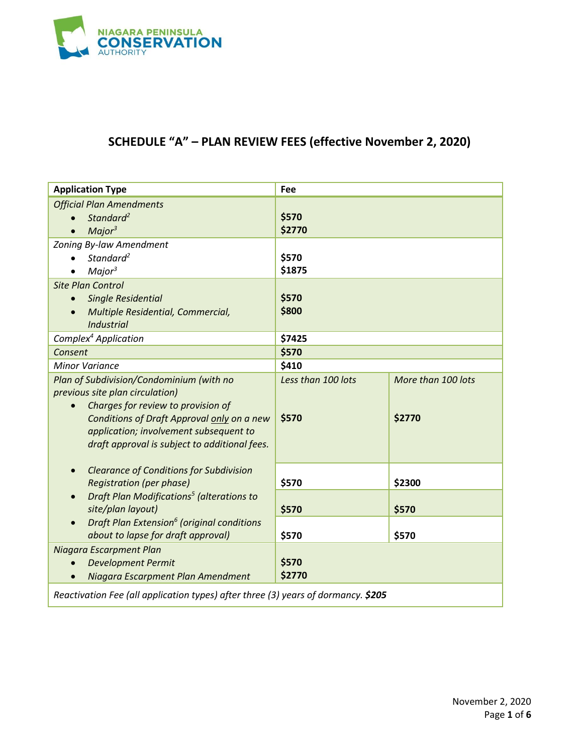

# **SCHEDULE "A" – PLAN REVIEW FEES (effective November 2, 2020)**

| <b>Application Type</b>                                                                                                                                                                                        | Fee                         |                    |
|----------------------------------------------------------------------------------------------------------------------------------------------------------------------------------------------------------------|-----------------------------|--------------------|
| <b>Official Plan Amendments</b><br>Standard <sup>2</sup><br>Major <sup>3</sup>                                                                                                                                 | \$570<br>\$2770             |                    |
| Zoning By-law Amendment<br>Standard <sup>2</sup><br>Major <sup>3</sup>                                                                                                                                         | \$570<br>\$1875             |                    |
| <b>Site Plan Control</b><br><b>Single Residential</b><br>Multiple Residential, Commercial,<br><b>Industrial</b>                                                                                                | \$570<br>\$800              |                    |
| Complex <sup>4</sup> Application                                                                                                                                                                               | \$7425                      |                    |
| Consent                                                                                                                                                                                                        | \$570                       |                    |
| <b>Minor Variance</b><br>Plan of Subdivision/Condominium (with no                                                                                                                                              | \$410<br>Less than 100 lots | More than 100 lots |
| previous site plan circulation)<br>Charges for review to provision of<br>Conditions of Draft Approval only on a new<br>application; involvement subsequent to<br>draft approval is subject to additional fees. | \$570                       | \$2770             |
| <b>Clearance of Conditions for Subdivision</b><br><b>Registration (per phase)</b>                                                                                                                              | \$570                       | \$2300             |
| Draft Plan Modifications <sup>5</sup> (alterations to<br>site/plan layout)                                                                                                                                     | \$570                       | \$570              |
| Draft Plan Extension <sup>6</sup> (original conditions<br>about to lapse for draft approval)                                                                                                                   | \$570                       | \$570              |
| Niagara Escarpment Plan<br><b>Development Permit</b><br>Niagara Escarpment Plan Amendment<br>$\bullet$                                                                                                         | \$570<br>\$2770             |                    |
| Reactivation Fee (all application types) after three (3) years of dormancy. \$205                                                                                                                              |                             |                    |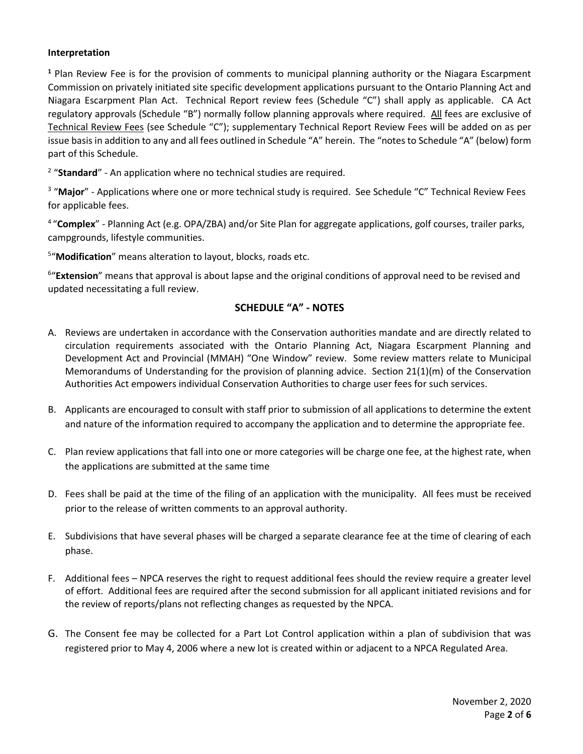#### **Interpretation**

**<sup>1</sup>** Plan Review Fee is for the provision of comments to municipal planning authority or the Niagara Escarpment Commission on privately initiated site specific development applications pursuant to the Ontario Planning Act and Niagara Escarpment Plan Act. Technical Report review fees (Schedule "C") shall apply as applicable. CA Act regulatory approvals (Schedule "B") normally follow planning approvals where required. All fees are exclusive of Technical Review Fees (see Schedule "C"); supplementary Technical Report Review Fees will be added on as per issue basis in addition to any and all fees outlined in Schedule "A" herein. The "notes to Schedule "A" (below) form part of this Schedule.

<sup>2</sup> "Standard" - An application where no technical studies are required.

<sup>3</sup> "Major" - Applications where one or more technical study is required. See Schedule "C" Technical Review Fees for applicable fees.

4 "**Complex**" - Planning Act (e.g. OPA/ZBA) and/or Site Plan for aggregate applications, golf courses, trailer parks, campgrounds, lifestyle communities.

5 "**Modification**" means alteration to layout, blocks, roads etc.

<sup>6</sup>"Extension" means that approval is about lapse and the original conditions of approval need to be revised and updated necessitating a full review.

#### **SCHEDULE "A" - NOTES**

- A. Reviews are undertaken in accordance with the Conservation authorities mandate and are directly related to circulation requirements associated with the Ontario Planning Act, Niagara Escarpment Planning and Development Act and Provincial (MMAH) "One Window" review. Some review matters relate to Municipal Memorandums of Understanding for the provision of planning advice. Section 21(1)(m) of the Conservation Authorities Act empowers individual Conservation Authorities to charge user fees for such services.
- B. Applicants are encouraged to consult with staff prior to submission of all applications to determine the extent and nature of the information required to accompany the application and to determine the appropriate fee.
- C. Plan review applications that fall into one or more categories will be charge one fee, at the highest rate, when the applications are submitted at the same time
- D. Fees shall be paid at the time of the filing of an application with the municipality. All fees must be received prior to the release of written comments to an approval authority.
- E. Subdivisions that have several phases will be charged a separate clearance fee at the time of clearing of each phase.
- F. Additional fees NPCA reserves the right to request additional fees should the review require a greater level of effort. Additional fees are required after the second submission for all applicant initiated revisions and for the review of reports/plans not reflecting changes as requested by the NPCA.
- G. The Consent fee may be collected for a Part Lot Control application within a plan of subdivision that was registered prior to May 4, 2006 where a new lot is created within or adjacent to a NPCA Regulated Area.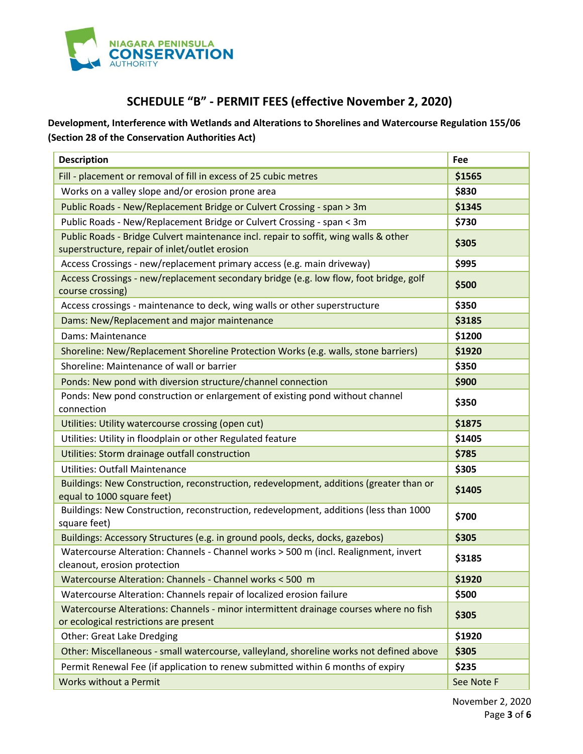

## **SCHEDULE "B" - PERMIT FEES (effective November 2, 2020)**

**Development, Interference with Wetlands and Alterations to Shorelines and Watercourse Regulation 155/06 (Section 28 of the Conservation Authorities Act)**

| <b>Description</b>                                                                                                              | Fee    |
|---------------------------------------------------------------------------------------------------------------------------------|--------|
| Fill - placement or removal of fill in excess of 25 cubic metres                                                                | \$1565 |
| Works on a valley slope and/or erosion prone area                                                                               | \$830  |
| Public Roads - New/Replacement Bridge or Culvert Crossing - span > 3m                                                           | \$1345 |
| Public Roads - New/Replacement Bridge or Culvert Crossing - span < 3m                                                           | \$730  |
| Public Roads - Bridge Culvert maintenance incl. repair to soffit, wing walls & other                                            | \$305  |
| superstructure, repair of inlet/outlet erosion                                                                                  |        |
| Access Crossings - new/replacement primary access (e.g. main driveway)                                                          | \$995  |
| Access Crossings - new/replacement secondary bridge (e.g. low flow, foot bridge, golf<br>course crossing)                       | \$500  |
| Access crossings - maintenance to deck, wing walls or other superstructure                                                      | \$350  |
| Dams: New/Replacement and major maintenance                                                                                     | \$3185 |
| Dams: Maintenance                                                                                                               | \$1200 |
| Shoreline: New/Replacement Shoreline Protection Works (e.g. walls, stone barriers)                                              | \$1920 |
| Shoreline: Maintenance of wall or barrier                                                                                       | \$350  |
| Ponds: New pond with diversion structure/channel connection                                                                     | \$900  |
| Ponds: New pond construction or enlargement of existing pond without channel<br>connection                                      | \$350  |
| Utilities: Utility watercourse crossing (open cut)                                                                              | \$1875 |
| Utilities: Utility in floodplain or other Regulated feature                                                                     | \$1405 |
| Utilities: Storm drainage outfall construction                                                                                  | \$785  |
| <b>Utilities: Outfall Maintenance</b>                                                                                           | \$305  |
| Buildings: New Construction, reconstruction, redevelopment, additions (greater than or<br>equal to 1000 square feet)            | \$1405 |
| Buildings: New Construction, reconstruction, redevelopment, additions (less than 1000<br>square feet)                           | \$700  |
| Buildings: Accessory Structures (e.g. in ground pools, decks, docks, gazebos)                                                   | \$305  |
| Watercourse Alteration: Channels - Channel works > 500 m (incl. Realignment, invert<br>cleanout, erosion protection             | \$3185 |
| Watercourse Alteration: Channels - Channel works < 500 m                                                                        | \$1920 |
| Watercourse Alteration: Channels repair of localized erosion failure                                                            | \$500  |
| Watercourse Alterations: Channels - minor intermittent drainage courses where no fish<br>or ecological restrictions are present | \$305  |
| Other: Great Lake Dredging                                                                                                      | \$1920 |
| Other: Miscellaneous - small watercourse, valleyland, shoreline works not defined above                                         | \$305  |
| Permit Renewal Fee (if application to renew submitted within 6 months of expiry                                                 | \$235  |
| <b>Works without a Permit</b><br>See Note F                                                                                     |        |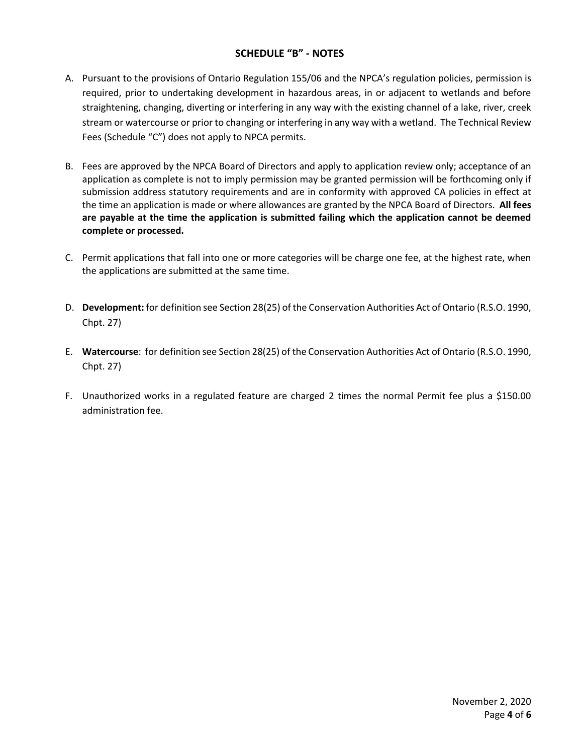#### **SCHEDULE "B" - NOTES**

- A. Pursuant to the provisions of Ontario Regulation 155/06 and the NPCA's regulation policies, permission is required, prior to undertaking development in hazardous areas, in or adjacent to wetlands and before straightening, changing, diverting or interfering in any way with the existing channel of a lake, river, creek stream or watercourse or prior to changing or interfering in any way with a wetland. The Technical Review Fees (Schedule "C") does not apply to NPCA permits.
- B. Fees are approved by the NPCA Board of Directors and apply to application review only; acceptance of an application as complete is not to imply permission may be granted permission will be forthcoming only if submission address statutory requirements and are in conformity with approved CA policies in effect at the time an application is made or where allowances are granted by the NPCA Board of Directors. **All fees are payable at the time the application is submitted failing which the application cannot be deemed complete or processed.**
- C. Permit applications that fall into one or more categories will be charge one fee, at the highest rate, when the applications are submitted at the same time.
- D. **Development:** for definition see Section 28(25) of the Conservation Authorities Act of Ontario (R.S.O. 1990, Chpt. 27)
- E. **Watercourse**: for definition see Section 28(25) of the Conservation Authorities Act of Ontario (R.S.O. 1990, Chpt. 27)
- F. Unauthorized works in a regulated feature are charged 2 times the normal Permit fee plus a \$150.00 administration fee.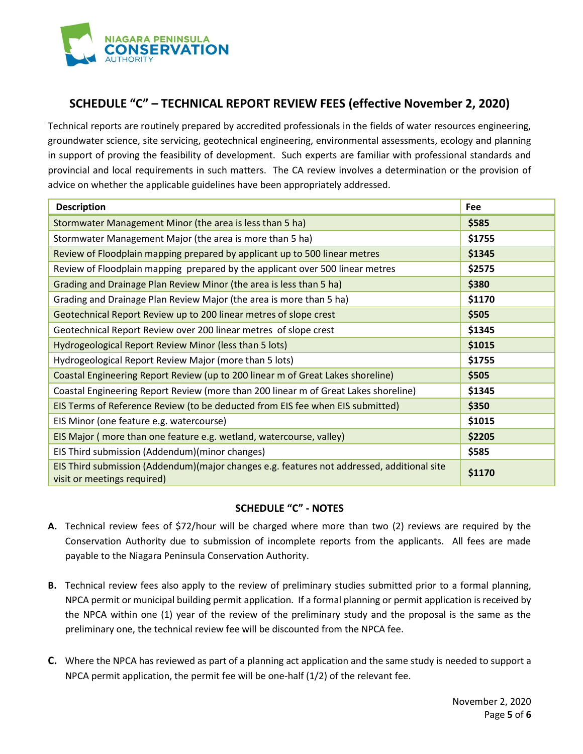

### **SCHEDULE "C" – TECHNICAL REPORT REVIEW FEES (effective November 2, 2020)**

Technical reports are routinely prepared by accredited professionals in the fields of water resources engineering, groundwater science, site servicing, geotechnical engineering, environmental assessments, ecology and planning in support of proving the feasibility of development. Such experts are familiar with professional standards and provincial and local requirements in such matters. The CA review involves a determination or the provision of advice on whether the applicable guidelines have been appropriately addressed.

| <b>Description</b>                                                                                                        | Fee    |
|---------------------------------------------------------------------------------------------------------------------------|--------|
| Stormwater Management Minor (the area is less than 5 ha)                                                                  | \$585  |
| Stormwater Management Major (the area is more than 5 ha)                                                                  | \$1755 |
| Review of Floodplain mapping prepared by applicant up to 500 linear metres                                                | \$1345 |
| Review of Floodplain mapping prepared by the applicant over 500 linear metres                                             | \$2575 |
| Grading and Drainage Plan Review Minor (the area is less than 5 ha)                                                       | \$380  |
| Grading and Drainage Plan Review Major (the area is more than 5 ha)                                                       | \$1170 |
| Geotechnical Report Review up to 200 linear metres of slope crest                                                         | \$505  |
| Geotechnical Report Review over 200 linear metres of slope crest                                                          | \$1345 |
| Hydrogeological Report Review Minor (less than 5 lots)                                                                    | \$1015 |
| Hydrogeological Report Review Major (more than 5 lots)                                                                    | \$1755 |
| Coastal Engineering Report Review (up to 200 linear m of Great Lakes shoreline)                                           | \$505  |
| Coastal Engineering Report Review (more than 200 linear m of Great Lakes shoreline)                                       | \$1345 |
| EIS Terms of Reference Review (to be deducted from EIS fee when EIS submitted)                                            | \$350  |
| EIS Minor (one feature e.g. watercourse)                                                                                  | \$1015 |
| EIS Major (more than one feature e.g. wetland, watercourse, valley)                                                       | \$2205 |
| EIS Third submission (Addendum)(minor changes)                                                                            | \$585  |
| EIS Third submission (Addendum)(major changes e.g. features not addressed, additional site<br>visit or meetings required) | \$1170 |

#### **SCHEDULE "C" - NOTES**

- **A.** Technical review fees of \$72/hour will be charged where more than two (2) reviews are required by the Conservation Authority due to submission of incomplete reports from the applicants. All fees are made payable to the Niagara Peninsula Conservation Authority.
- **B.** Technical review fees also apply to the review of preliminary studies submitted prior to a formal planning, NPCA permit or municipal building permit application. If a formal planning or permit application is received by the NPCA within one (1) year of the review of the preliminary study and the proposal is the same as the preliminary one, the technical review fee will be discounted from the NPCA fee.
- **C.** Where the NPCA has reviewed as part of a planning act application and the same study is needed to support a NPCA permit application, the permit fee will be one-half (1/2) of the relevant fee.